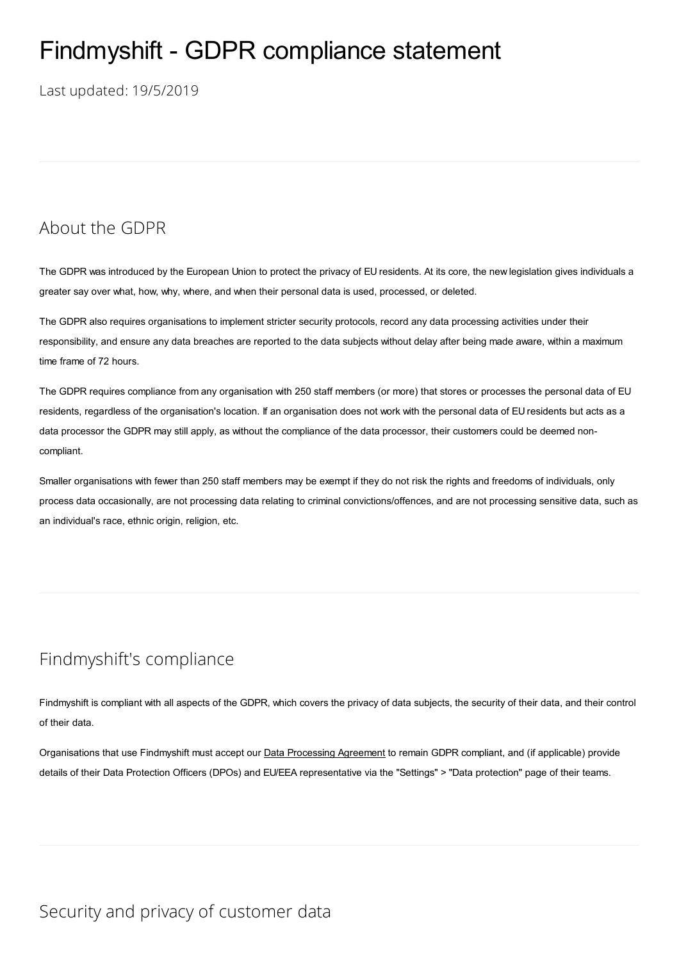# Findmyshift - GDPR compliance statement

Last updated: 19/5/2019

## About the GDPR

The GDPR was introduced by the European Union to protect the privacy of EU residents. At its core, the new legislation gives individuals a greater say over what, how, why, where, and when their personal data is used, processed, or deleted.

The GDPR also requires organisations to implement stricter security protocols, record any data processing activities under their responsibility, and ensure any data breaches are reported to the data subjects without delay after being made aware, within a maximum time frame of 72 hours.

The GDPR requires compliance from any organisation with 250 staff members (or more) that stores or processes the personal data of EU residents, regardless of the organisation's location. If an organisation does not work with the personal data of EU residents but acts as a data processor the GDPR may still apply, as without the compliance of the data processor, their customers could be deemed noncompliant.

Smaller organisations with fewer than 250 staff members may be exempt if they do not risk the rights and freedoms of individuals, only process data occasionally, are not processing data relating to criminal convictions/offences, and are not processing sensitive data, such as an individual's race, ethnic origin, religion, etc.

# Findmyshift's compliance

Findmyshift is compliant with all aspects of the GDPR, which covers the privacy of data subjects, the security of their data, and their control of their data.

Organisations that use Findmyshift must accept our Data [Processing](file:///D:/Sites/Findmyshift/temp/hlmjoacsglss2qx40qhbg0ny_637926662136354025/es-do/data-processing-agreement) Agreement to remain GDPR compliant, and (if applicable) provide details of their Data Protection Officers (DPOs) and EU/EEA representative via the "Settings" > "Data protection" page of their teams.

## Security and privacy of customer data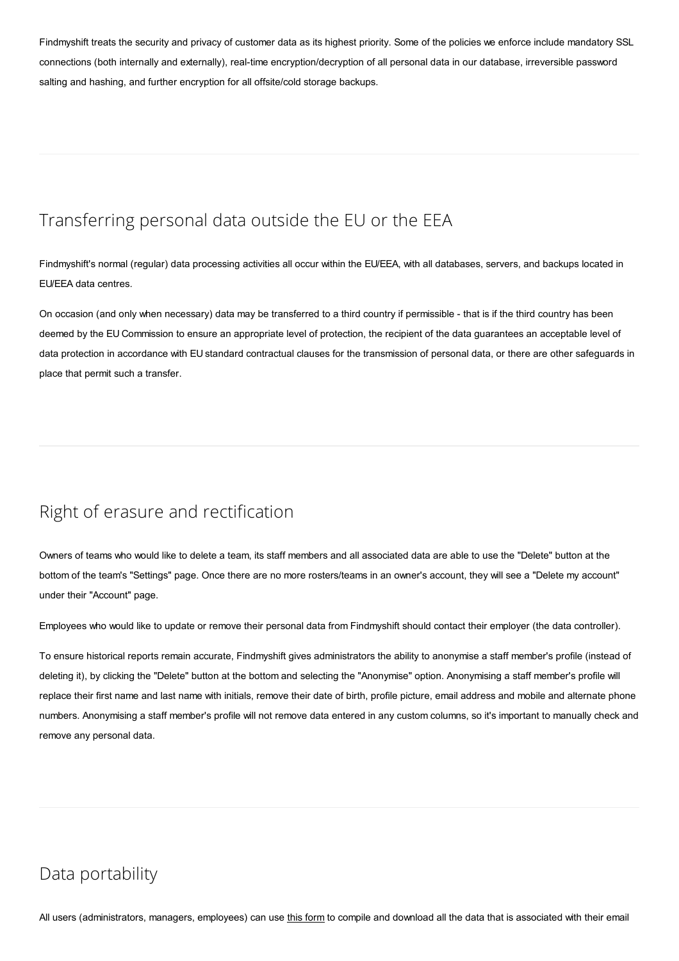Findmyshift treats the security and privacy of customer data as its highest priority. Some of the policies we enforce include mandatory SSL connections (both internally and externally), real-time encryption/decryption of all personal data in our database, irreversible password salting and hashing, and further encryption for all offsite/cold storage backups.

# Transferring personal data outside the EU or the EEA

Findmyshift's normal (regular) data processing activities all occur within the EU/EEA, with all databases, servers, and backups located in EU/EEA data centres.

On occasion (and only when necessary) data may be transferred to a third country if permissible - that is if the third country has been deemed by the EU Commission to ensure an appropriate level of protection, the recipient of the data guarantees an acceptable level of data protection in accordance with EU standard contractual clauses for the transmission of personal data, or there are other safeguards in place that permit such a transfer.

## Right of erasure and rectification

Owners of teams who would like to delete a team, its staff members and all associated data are able to use the "Delete" button at the bottom of the team's "Settings" page. Once there are no more rosters/teams in an owner's account, they will see a "Delete my account" under their "Account" page.

Employees who would like to update or remove their personal data from Findmyshift should contact their employer (the data controller).

To ensure historical reports remain accurate, Findmyshift gives administrators the ability to anonymise a staff member's profile (instead of deleting it), by clicking the "Delete" button at the bottom and selecting the "Anonymise" option. Anonymising a staff member's profile will replace their first name and last name with initials, remove their date of birth, profile picture, email address and mobile and alternate phone numbers. Anonymising a staff member's profile will not remove data entered in any custom columns, so it's important to manually check and remove any personal data.

## Data portability

All users (administrators, managers, employees) can use this form to compile and download all the data that is associated with their email